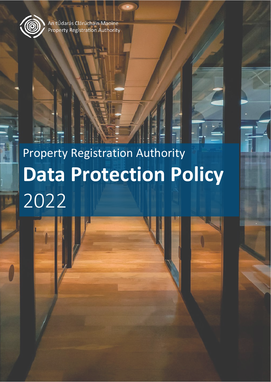

An tÚdarás Clárúcháin Maoine Property Registration Authority

# Property Registration Authority **Data Protection Policy** 2022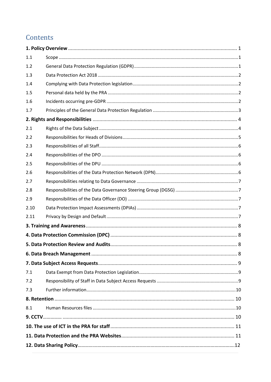# Contents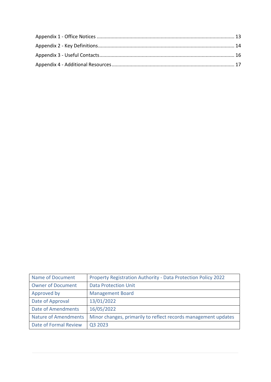| Name of Document            | Property Registration Authority - Data Protection Policy 2022  |
|-----------------------------|----------------------------------------------------------------|
| <b>Owner of Document</b>    | <b>Data Protection Unit</b>                                    |
| Approved by                 | <b>Management Board</b>                                        |
| Date of Approval            | 13/01/2022                                                     |
| <b>Date of Amendments</b>   | 16/05/2022                                                     |
| <b>Nature of Amendments</b> | Minor changes, primarily to reflect records management updates |
| Date of Formal Review       | Q3 2023                                                        |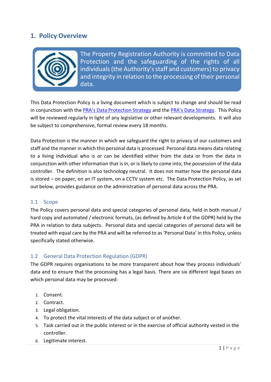## <span id="page-3-0"></span>**1. Policy Overview**



The Property Registration Authority is committed to Data Protection and the safeguarding of the rights of all individuals (the Authority's staff and customers) to privacy and integrity in relation to the processing of their personal data.

This Data Protection Policy is a living document which is subject to change and should be read in conjunction with the [PRA's Data Protection Strategy](http://opra/download/strategy_and_corporate/data_management/Data-Protection-Strategy-2018.pdf) and the [PRA's Data Strategy.](http://opra/wp-content/uploads/2021/04/PRA-Data-Strategy-2021-2023.pdf) This Policy will be reviewed regularly in light of any legislative or other relevant developments. It will also be subject to comprehensive, formal review every 18 months.

Data Protection is the manner in which we safeguard the right to privacy of our customers and staff and the manner in which this personal data is processed. Personal data means data relating to a living individual who is or can be identified either from the data or from the data in conjunction with other information that is in, or is likely to come into, the possession of the data controller. The definition is also technology neutral. It does not matter how the personal data is stored – on paper, on an IT system, on a CCTV system etc. The Data Protection Policy, as set out below, provides guidance on the administration of personal data across the PRA.

#### <span id="page-3-1"></span>1.1 Scope

The Policy covers personal data and special categories of personal data, held in both manual / hard copy and automated / electronic formats, (as defined by Article 4 of the GDPR) held by the PRA in relation to data subjects. Personal data and special categories of personal data will be treated with equal care by the PRA and will be referred to as 'Personal Data' in this Policy, unless specifically stated otherwise.

#### <span id="page-3-2"></span>1.2 General Data Protection Regulation (GDPR)

The GDPR requires organisations to be more transparent about how they process individuals' data and to ensure that the processing has a legal basis. There are six different legal bases on which personal data may be processed:

- 1. Consent.
- 2. Contract.
- 3. Legal obligation.
- 4. To protect the vital interests of the data subject or of another.
- 5. Task carried out in the public interest or in the exercise of official authority vested in the controller.
- 6. Legitimate interest.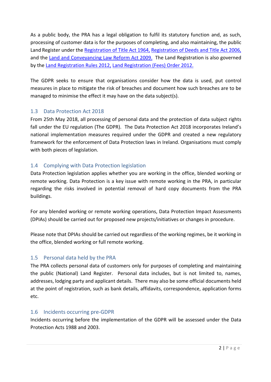As a public body, the PRA has a legal obligation to fulfil its statutory function and, as such, processing of customer data is for the purposes of completing, and also maintaining, the public Land Register under th[e Registration of Title Act 1964,](https://www.prai.ie/download/information/Legislation/Acts%20of%20the%20Oireachtas/Registration%20of%20Title%20Act%201964.pdf) [Registration of Deeds and Title Act 2006,](https://www.prai.ie/download/information/Legislation/Acts%20of%20the%20Oireachtas/Registration%20of%20Deeds%20and%20Title%20Act%202006.pdf) and the [Land and Conveyancing Law Reform Act 2009.](https://www.prai.ie/download/information/Legislation/Acts%20of%20the%20Oireachtas/Land%20and%20Conveyancing%20Law%20Reform%20Act%202009.pdf) The Land Registration is also governed by the [Land Registration](https://www.prai.ie/category/information/lr-rules/) Rules 2012, [Land Registration \(Fees\) Order 2012.](https://www.prai.ie/download/information/Legislation/Statutory%20Instruments/S.I.%20380%20of%202012.pdf)

The GDPR seeks to ensure that organisations consider how the data is used, put control measures in place to mitigate the risk of breaches and document how such breaches are to be managed to minimise the effect it may have on the data subject(s).

#### <span id="page-4-0"></span>1.3 Data Protection Act 2018

From 25th May 2018, all processing of personal data and the protection of data subject rights fall under the EU regulation (The GDPR). The Data Protection Act 2018 incorporates Ireland's national implementation measures required under the GDPR and created a new regulatory framework for the enforcement of Data Protection laws in Ireland. Organisations must comply with both pieces of legislation.

#### <span id="page-4-1"></span>1.4 Complying with Data Protection legislation

Data Protection legislation applies whether you are working in the office, blended working or remote working. Data Protection is a key issue with remote working in the PRA, in particular regarding the risks involved in potential removal of hard copy documents from the PRA buildings.

For any blended working or remote working operations, Data Protection Impact Assessments (DPIAs) should be carried out for proposed new projects/initiatives or changes in procedure.

Please note that DPIAs should be carried out regardless of the working regimes, be it working in the office, blended working or full remote working.

#### <span id="page-4-2"></span>1.5 Personal data held by the PRA

The PRA collects personal data of customers only for purposes of completing and maintaining the public (National) Land Register. Personal data includes, but is not limited to, names, addresses, lodging party and applicant details. There may also be some official documents held at the point of registration, such as bank details, affidavits, correspondence, application forms etc.

#### <span id="page-4-3"></span>1.6 Incidents occurring pre-GDPR

Incidents occurring before the implementation of the GDPR will be assessed under the Data Protection Acts 1988 and 2003.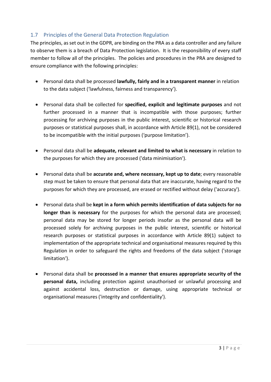#### <span id="page-5-0"></span>1.7 Principles of the General Data Protection Regulation

The principles, as set out in the GDPR, are binding on the PRA as a data controller and any failure to observe them is a breach of Data Protection legislation. It is the responsibility of every staff member to follow all of the principles. The policies and procedures in the PRA are designed to ensure compliance with the following principles:

- Personal data shall be processed **lawfully, fairly and in a transparent manner** in relation to the data subject ('lawfulness, fairness and transparency').
- Personal data shall be collected for **specified, explicit and legitimate purposes** and not further processed in a manner that is incompatible with those purposes; further processing for archiving purposes in the public interest, scientific or historical research purposes or statistical purposes shall, in accordance with Article 89(1), not be considered to be incompatible with the initial purposes ('purpose limitation').
- Personal data shall be **adequate, relevant and limited to what is necessary** in relation to the purposes for which they are processed ('data minimisation').
- Personal data shall be **accurate and, where necessary, kept up to date**; every reasonable step must be taken to ensure that personal data that are inaccurate, having regard to the purposes for which they are processed, are erased or rectified without delay ('accuracy').
- Personal data shall be **kept in a form which permits identification of data subjects for no longer than is necessary** for the purposes for which the personal data are processed; personal data may be stored for longer periods insofar as the personal data will be processed solely for archiving purposes in the public interest, scientific or historical research purposes or statistical purposes in accordance with Article 89(1) subject to implementation of the appropriate technical and organisational measures required by this Regulation in order to safeguard the rights and freedoms of the data subject ('storage limitation').
- Personal data shall be **processed in a manner that ensures appropriate security of the personal data,** including protection against unauthorised or unlawful processing and against accidental loss, destruction or damage, using appropriate technical or organisational measures ('integrity and confidentiality').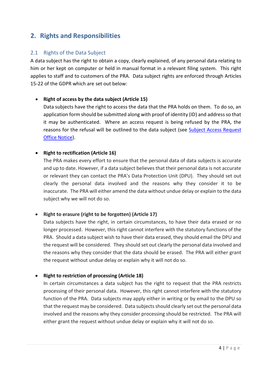# <span id="page-6-0"></span>**2. Rights and Responsibilities**

#### <span id="page-6-1"></span>2.1 Rights of the Data Subject

A data subject has the right to obtain a copy, clearly explained, of any personal data relating to him or her kept on computer or held in manual format in a relevant filing system. This right applies to staff and to customers of the PRA. Data subject rights are enforced through Articles 15-22 of the GDPR which are set out below:

#### • **Right of access by the data subject (Article 15)**

Data subjects have the right to access the data that the PRA holds on them. To do so, an application form should be submitted along with proof of identity (ID) and address so that it may be authenticated. Where an access request is being refused by the PRA, the reasons for the refusal will be outlined to the data subject (see [Subject Access Request](http://opra/subject-access-request-ip-cs-office-notice-7-of-2018/)  [Office Notice\)](http://opra/subject-access-request-ip-cs-office-notice-7-of-2018/).

#### • **Right to rectification (Article 16)**

The PRA makes every effort to ensure that the personal data of data subjects is accurate and up to date. However, if a data subject believes that their personal data is not accurate or relevant they can contact the PRA's [Data Protection Unit](mailto:dataprotectionunit@prai.ie) (DPU). They should set out clearly the personal data involved and the reasons why they consider it to be inaccurate. The PRA will either amend the data without undue delay or explain to the data subject why we will not do so.

#### • **Right to erasure (right to be forgotten) (Article 17)**

Data subjects have the right, in certain circumstances, to have their data erased or no longer processed. However, this right cannot interfere with the statutory functions of the PRA. Should a data subject wish to have their data erased, they should email the [DPU](mailto:dataprotectionunit@prai.ie) and the request will be considered. They should set out clearly the personal data involved and the reasons why they consider that the data should be erased. The PRA will either grant the request without undue delay or explain why it will not do so.

#### • **Right to restriction of processing (Article 18)**

In certain circumstances a data subject has the right to request that the PRA restricts processing of their personal data. However, this right cannot interfere with the statutory function of the PRA. Data subjects may apply either in writing or by email to the [DPU](mailto:dataprotectionunit@prai.ie) so that the request may be considered. Data subjectsshould clearly set out the personal data involved and the reasons why they consider processing should be restricted. The PRA will either grant the request without undue delay or explain why it will not do so.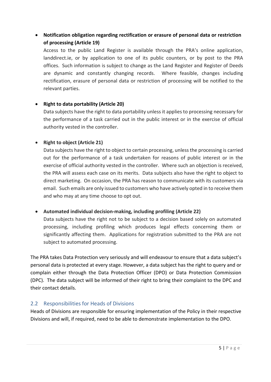### • **Notification obligation regarding rectification or erasure of personal data or restriction of processing (Article 19)**

Access to the public Land Register is available through the PRA's online application, [landdirect.ie,](https://www.landdirect.ie/) or by application to one of its public counters, or by post to the PRA offices. Such information is subject to change as the Land Register and Register of Deeds are dynamic and constantly changing records. Where feasible, changes including rectification, erasure of personal data or restriction of processing will be notified to the relevant parties.

#### • **Right to data portability (Article 20)**

Data subjects have the right to data portability unless it applies to processing necessary for the performance of a task carried out in the public interest or in the exercise of official authority vested in the controller.

#### • **Right to object (Article 21)**

Data subjects have the right to object to certain processing, unless the processing is carried out for the performance of a task undertaken for reasons of public interest or in the exercise of official authority vested in the controller. Where such an objection is received, the PRA will assess each case on its merits. Data subjects also have the right to object to direct marketing. On occasion, the PRA has reason to communicate with its customers via email. Such emails are only issued to customers who have actively opted in to receive them and who may at any time choose to opt out.

#### • **Automated individual decision-making, including profiling (Article 22)**

Data subjects have the right not to be subject to a decision based solely on automated processing, including profiling which produces legal effects concerning them or significantly affecting them. Applications for registration submitted to the PRA are not subject to automated processing.

The PRA takes Data Protection very seriously and will endeavour to ensure that a data subject's personal data is protected at every stage. However, a data subject has the right to query and or complain either through the Data Protection Officer (DPO) or Data Protection Commission (DPC). The data subject will be informed of their right to bring their complaint to the DPC and their contact details.

#### <span id="page-7-0"></span>2.2 Responsibilities for Heads of Divisions

Heads of Divisions are responsible for ensuring implementation of the Policy in their respective Divisions and will, if required, need to be able to demonstrate implementation to the DPO.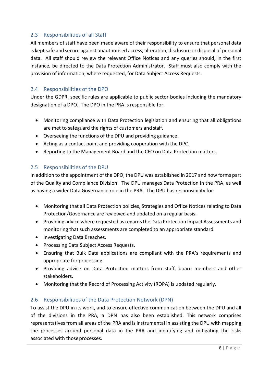#### <span id="page-8-0"></span>2.3 Responsibilities of all Staff

All members of staff have been made aware of their responsibility to ensure that personal data is kept safe and secure against unauthorised access, alteration, disclosure or disposal of personal data. All staff should review the relevant Office Notices and any queries should, in the first instance, be directed to the Data Protection Administrator. Staff must also comply with the provision of information, where requested, for Data Subject Access Requests.

#### <span id="page-8-1"></span>2.4 Responsibilities of the DPO

Under the GDPR, specific rules are applicable to public sector bodies including the mandatory designation of a DPO. The DPO in the PRA is responsible for:

- Monitoring compliance with Data Protection legislation and ensuring that all obligations are met to safeguard the rights of customers and staff.
- Overseeing the functions of the DPU and providing guidance.
- Acting as a contact point and providing cooperation with the DPC.
- Reporting to the Management Board and the CEO on Data Protection matters.

#### <span id="page-8-2"></span>2.5 Responsibilities of the DPU

In addition to the appointment of the DPO, the DPU was established in 2017 and now forms part of the Quality and Compliance Division. The DPU manages Data Protection in the PRA, as well as having a wider Data Governance role in the PRA. The DPU has responsibility for:

- Monitoring that all Data Protection policies, Strategies and Office Notices relating to Data Protection/Governance are reviewed and updated on a regular basis.
- Providing advice where requested as regards the Data Protection Impact Assessments and monitoring that such assessments are completed to an appropriate standard.
- Investigating Data Breaches.
- Processing Data Subject Access Requests.
- Ensuring that Bulk Data applications are compliant with the PRA's requirements and appropriate for processing.
- Providing advice on Data Protection matters from staff, board members and other stakeholders.
- Monitoring that the Record of Processing Activity (ROPA) is updated regularly.

#### <span id="page-8-3"></span>2.6 Responsibilities of the Data Protection Network (DPN)

To assist the DPU in its work, and to ensure effective communication between the DPU and all of the divisions in the PRA, a DPN has also been established. This network comprises representatives from all areas of the PRA and is instrumental in assisting the DPU with mapping the processes around personal data in the PRA and identifying and mitigating the risks associated with thoseprocesses.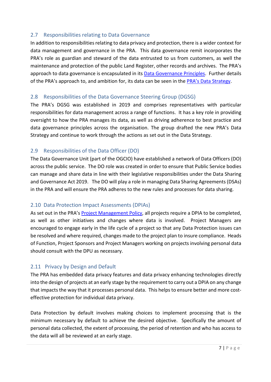#### <span id="page-9-0"></span>2.7 Responsibilities relating to Data Governance

In addition to responsibilities relating to data privacy and protection, there is a wider context for data management and governance in the PRA. This data governance remit incorporates the PRA's role as guardian and steward of the data entrusted to us from customers, as well the maintenance and protection of the public Land Register, other records and archives. The PRA's approach to data governance is encapsulated in its [Data Governance Principles.](http://opra/download/strategy_and_corporate/data_management/Data-Governance-Principles-2020.pdf) Further details of the PRA's approach to, and ambition for, its data can be seen in the [PRA's Data Strategy.](http://opra/wp-content/uploads/2021/04/PRA-Data-Strategy-2021-2023.pdf)

#### <span id="page-9-1"></span>2.8 Responsibilities of the Data Governance Steering Group (DGSG)

The PRA's DGSG was established in 2019 and comprises representatives with particular responsibilities for data management across a range of functions. It has a key role in providing oversight to how the PRA manages its data, as well as driving adherence to best practice and data governance principles across the organisation. The group drafted the new PRA's Data Strategy and continue to work through the actions as set out in the Data Strategy.

#### <span id="page-9-2"></span>2.9 Responsibilities of the Data Officer (DO)

The Data Governance Unit (part of the OGCIO) have established a network of Data Officers (DO) across the public service. The DO role was created in order to ensure that Public Service bodies can manage and share data in line with their legislative responsibilities under the Data Sharing and Governance Act 2019. The DO will play a role in managing Data Sharing Agreements (DSAs) in the PRA and will ensure the PRA adheres to the new rules and processes for data sharing.

#### <span id="page-9-3"></span>2.10 Data Protection Impact Assessments (DPIAs)

As set out in the PRA's **Project Management Policy**, all projects require a DPIA to be completed, as well as other initiatives and changes where data is involved. Project Managers are encouraged to engage early in the life cycle of a project so that any Data Protection issues can be resolved and where required, changes made to the project plan to insure compliance. Heads of Function, Project Sponsors and Project Managers working on projects involving personal data should consult with the DPU as necessary.

#### <span id="page-9-4"></span>2.11 Privacy by Design and Default

The PRA has embedded data privacy features and data privacy enhancing technologies directly into the design of projects at an early stage by the requirement to carry out a DPIA on any change that impacts the way that it processes personal data. This helps to ensure better and more costeffective protection for individual data privacy.

Data Protection by default involves making choices to implement processing that is the minimum necessary by default to achieve the desired objective. Specifically the amount of personal data collected, the extent of processing, the period of retention and who has access to the data will all be reviewed at an early stage.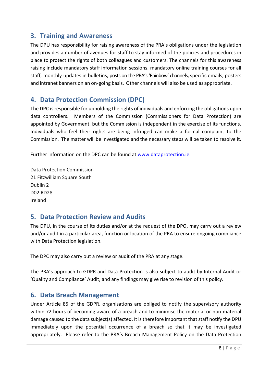## <span id="page-10-0"></span>**3. Training and Awareness**

The DPU has responsibility for raising awareness of the PRA's obligations under the legislation and provides a number of avenues for staff to stay informed of the policies and procedures in place to protect the rights of both colleagues and customers. The channels for this awareness raising include mandatory staff information sessions, mandatory online training courses for all staff, monthly updates in bulletins, posts on the PRA's 'Rainbow' channels, specific emails, posters and intranet banners on an on-going basis. Other channels will also be used as appropriate.

# <span id="page-10-1"></span>**4. Data Protection Commission (DPC)**

The DPC is responsible for upholding the rights of individuals and enforcing the obligations upon data controllers. Members of the Commission (Commissioners for Data Protection) are appointed by Government, but the Commission is independent in the exercise of its functions. Individuals who feel their rights are being infringed can make a formal complaint to the Commission. The matter will be investigated and the necessary steps will be taken to resolve it.

Further information on the DPC can be found at [www.dataprotection.ie.](http://www.dataprotection.ie/)

Data Protection Commission 21 Fitzwilliam Square South Dublin 2 D02 RD28 Ireland

## <span id="page-10-2"></span>**5. Data Protection Review and Audits**

The DPU, in the course of its duties and/or at the request of the DPO, may carry out a review and/or audit in a particular area, function or location of the PRA to ensure ongoing compliance with Data Protection legislation.

The DPC may also carry out a review or audit of the PRA at any stage.

The PRA's approach to GDPR and Data Protection is also subject to audit by Internal Audit or 'Quality and Compliance' Audit, and any findings may give rise to revision of this policy.

## <span id="page-10-3"></span>**6. Data Breach Management**

Under Article 85 of the GDPR, organisations are obliged to notify the supervisory authority within 72 hours of becoming aware of a breach and to minimise the material or non-material damage caused to the data subject(s) affected. It is therefore important that staff notify the DPU immediately upon the potential occurrence of a breach so that it may be investigated appropriately. Please refer to the PRA's Breach Management Policy on the Data Protection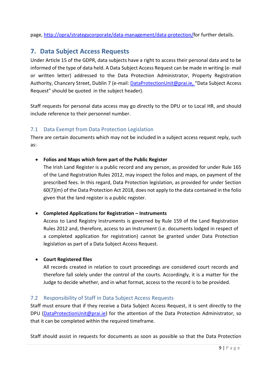page, [http://opra/strategycorporate/data-management/data-protection/f](http://opra/strategycorporate/data-management/data-protection/)or further details.

# <span id="page-11-0"></span>**7. Data Subject Access Requests**

Under Article 15 of the GDPR, data subjects have a right to access their personal data and to be informed of the type of data held. A Data Subject Access Request can be made in writing (e- mail or written letter) addressed to the Data Protection Administrator, Property Registration Authority, Chancery Street, Dublin 7 (e-mail[: DataProtectionUnit@prai.ie,](mailto:DataProtectionUnit@prai.ie) "Data Subject Access Request" should be quoted in the subject header).

Staff requests for personal data access may go directly to the DPU or to Local HR, and should include reference to their personnel number.

#### <span id="page-11-1"></span>7.1 Data Exempt from Data Protection Legislation

There are certain documents which may not be included in a subject access request reply, such as:

#### • **Folios and Maps which form part of the Public Register**

The Irish Land Register is a public record and any person, as provided for under Rule 165 of the Land Registration Rules 2012, may inspect the folios and maps, on payment of the prescribed fees. In this regard, Data Protection legislation, as provided for under Section 60(7)(m) of the Data Protection Act 2018, does not apply to the data contained in the folio given that the land register is a public register.

#### • **Completed Applications for Registration – Instruments**

Access to Land Registry Instruments is governed by Rule 159 of the Land Registration Rules 2012 and, therefore, access to an Instrument (i.e. documents lodged in respect of a completed application for registration) cannot be granted under Data Protection legislation as part of a Data Subject Access Request.

#### • **Court Registered files**

All records created in relation to court proceedings are considered court records and therefore fall solely under the control of the courts. Accordingly, it is a matter for the Judge to decide whether, and in what format, access to the record is to be provided.

#### <span id="page-11-2"></span>7.2 Responsibility of Staff in Data Subject Access Requests

Staff must ensure that if they receive a Data Subject Access Request, it is sent directly to the DPU [\(DataProtectionUnit@prai.ie\)](mailto:DataProtectionUnit@prai.ie) for the attention of the Data Protection Administrator, so that it can be completed within the required timeframe.

Staff should assist in requests for documents as soon as possible so that the Data Protection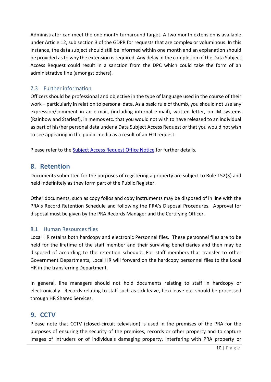Administrator can meet the one month turnaround target. A two month extension is available under Article 12, sub section 3 of the GDPR for requests that are complex or voluminous. In this instance, the data subject should still be informed within one month and an explanation should be provided as to why the extension is required. Any delay in the completion of the Data Subject Access Request could result in a sanction from the DPC which could take the form of an administrative fine (amongst others).

#### <span id="page-12-0"></span>7.3 Further information

Officers should be professional and objective in the type of language used in the course of their work – particularly in relation to personal data. As a basic rule of thumb, you should not use any expression/comment in an e-mail, (including internal e-mail), written letter, on IM systems (Rainbow and Starleaf), in memos etc. that you would not wish to have released to an individual as part of his/her personal data under a Data Subject Access Request or that you would not wish to see appearing in the public media as a result of an FOI request.

Please refer to the [Subject Access Request Office Notice](http://opra/subject-access-request-ip-cs-office-notice-7-of-2018/) for further details.

#### <span id="page-12-1"></span>**8. Retention**

Documents submitted for the purposes of registering a property are subject to Rule 152(3) and held indefinitely as they form part of the Public Register.

Other documents, such as copy folios and copy instruments may be disposed of in line with the PRA's Record Retention Schedule and following the PRA's Disposal Procedures. Approval for disposal must be given by the PRA Records Manager and the Certifying Officer.

#### <span id="page-12-2"></span>8.1 Human Resources files

Local HR retains both hardcopy and electronic Personnel files. These personnel files are to be held for the lifetime of the staff member and their surviving beneficiaries and then may be disposed of according to the retention schedule. For staff members that transfer to other Government Departments, Local HR will forward on the hardcopy personnel files to the Local HR in the transferring Department.

In general, line managers should not hold documents relating to staff in hardcopy or electronically. Records relating to staff such as sick leave, flexi leave etc. should be processed through HR Shared Services.

## <span id="page-12-3"></span>**9. CCTV**

Please note that CCTV (closed-circuit television) is used in the premises of the PRA for the purposes of ensuring the security of the premises, records or other property and to capture images of intruders or of individuals damaging property, interfering with PRA property or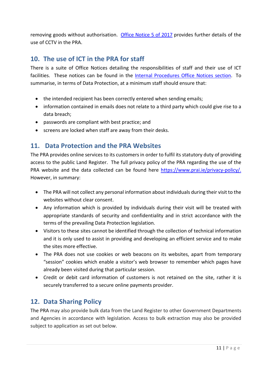removing goods without authorisation. [Office Notice 5 of 2017](http://opra/cctv-policy-and-operating-procedures-ip-cs-office-notice-5-of-2017/) [pr](http://opra/cctv-policy-and-operating-procedures-ip-cs-office-notice-5-of-2017/)ovides further details of the use of CCTV in the PRA.

# <span id="page-13-0"></span>**10. The use of ICT in the PRA for staff**

There is a suite of Office Notices detailing the responsibilities of staff and their use of ICT facilities. These notices can be found in the [Internal Procedures Office Notices section.](http://opra/knowledge-base/reference-material/office-notices/internal-practice/) To summarise, in terms of Data Protection, at a minimum staff should ensure that:

- the intended recipient has been correctly entered when sending emails;
- information contained in emails does not relate to a third party which could give rise to a data breach;
- passwords are compliant with best practice; and
- screens are locked when staff are away from their desks.

# <span id="page-13-1"></span>**11. Data Protection and the PRA Websites**

The PRA provides online services to its customers in order to fulfil its statutory duty of providing access to the public Land Register. The full privacy policy of the PRA regarding the use of the PRA website and the data collected can be found here [https://www.prai.ie/privacy-policy/.](https://www.prai.ie/privacy-policy/) However, in summary:

- The PRA will not collect any personal information about individuals during their visit to the websites without clear consent.
- Any information which is provided by individuals during their visit will be treated with appropriate standards of security and confidentiality and in strict accordance with the terms of the prevailing Data Protection legislation.
- Visitors to these sites cannot be identified through the collection of technical information and it is only used to assist in providing and developing an efficient service and to make the sites more effective.
- The PRA does not use cookies or web beacons on its websites, apart from temporary "session" cookies which enable a visitor's web browser to remember which pages have already been visited during that particular session.
- Credit or debit card information of customers is not retained on the site, rather it is securely transferred to a secure online payments provider.

# **12. Data Sharing Policy**

The PRA may also provide bulk data from the Land Register to other Government Departments and Agencies in accordance with legislation. Access to bulk extraction may also be provided subject to application as set out below.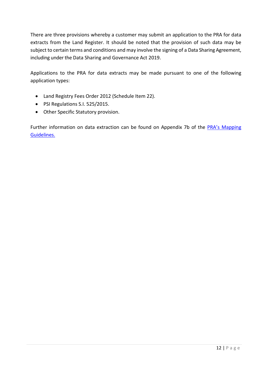There are three provisions whereby a customer may submit an application to the PRA for data extracts from the Land Register. It should be noted that the provision of such data may be subject to certain terms and conditions and may involve the signing of a Data Sharing Agreement, including under the Data Sharing and Governance Act 2019.

Applications to the PRA for data extracts may be made pursuant to one of the following application types:

- Land Registry Fees Order 2012 (Schedule Item 22).
- PSI Regulations S.I. 525/2015.
- Other Specific Statutory provision.

Further information on data extraction can be found on Appendix 7b of the PRA's Mapping [Guidelines.](https://www.prai.ie/mapping-guidelines/)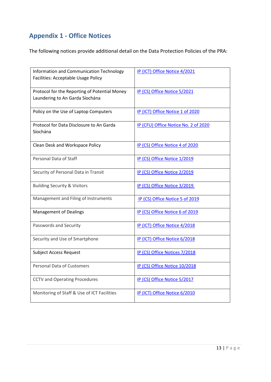# <span id="page-15-0"></span>**Appendix 1 - Office Notices**

The following notices provide additional detail on the Data Protection Policies of the PRA:

| Information and Communication Technology<br>Facilities: Acceptable Usage Policy  | IP (ICT) Office Notice 4/2021        |
|----------------------------------------------------------------------------------|--------------------------------------|
| Protocol for the Reporting of Potential Money<br>Laundering to An Garda Síochána | IP (CS) Office Notice 5/2021         |
| Policy on the Use of Laptop Computers                                            | IP (ICT) Office Notice 1 of 2020     |
| Protocol for Data Disclosure to An Garda<br>Síochána                             | IP (CFU) Office Notice No. 2 of 2020 |
| Clean Desk and Workspace Policy                                                  | IP (CS) Office Notice 4 of 2020      |
| Personal Data of Staff                                                           | IP (CS) Office Notice 1/2019         |
| Security of Personal Data in Transit                                             | IP (CS) Office Notice 2/2019         |
| <b>Building Security &amp; Visitors</b>                                          | IP (CS) Office Notice 3/2019         |
| Management and Filing of Instruments                                             | IP (CS) Office Notice 5 of 2019      |
| <b>Management of Dealings</b>                                                    | IP (CS) Office Notice 6 of 2019      |
| Passwords and Security                                                           | IP (ICT) Office Notice 4/2018        |
| Security and Use of Smartphone                                                   | IP (ICT) Office Notice 6/2018        |
| <b>Subject Access Request</b>                                                    | IP (CS) Office Notices 7/2018        |
| <b>Personal Data of Customers</b>                                                | IP (CS) Office Notice 10/2018        |
| <b>CCTV and Operating Procedures</b>                                             | IP (CS) Office Notice 5/2017         |
| Monitoring of Staff & Use of ICT Facilities                                      | IP (ICT) Office Notice 6/2010        |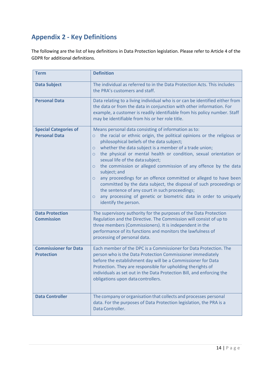# <span id="page-16-0"></span>**Appendix 2 - Key Definitions**

The following are the list of key definitions in Data Protection legislation. Please refer to Article 4 of the GDPR for additional definitions.

| <b>Term</b>                                          | <b>Definition</b>                                                                                                                                                                                                                                                                                                                                                                                                                                                                                                                                                                                                                                                                                                                                                                             |  |  |  |
|------------------------------------------------------|-----------------------------------------------------------------------------------------------------------------------------------------------------------------------------------------------------------------------------------------------------------------------------------------------------------------------------------------------------------------------------------------------------------------------------------------------------------------------------------------------------------------------------------------------------------------------------------------------------------------------------------------------------------------------------------------------------------------------------------------------------------------------------------------------|--|--|--|
| <b>Data Subject</b>                                  | The individual as referred to in the Data Protection Acts. This includes<br>the PRA's customers and staff.                                                                                                                                                                                                                                                                                                                                                                                                                                                                                                                                                                                                                                                                                    |  |  |  |
| <b>Personal Data</b>                                 | Data relating to a living individual who is or can be identified either from<br>the data or from the data in conjunction with other information. For<br>example, a customer is readily identifiable from his policy number. Staff<br>may be identifiable from his or her role title.                                                                                                                                                                                                                                                                                                                                                                                                                                                                                                          |  |  |  |
| <b>Special Categories of</b><br><b>Personal Data</b> | Means personal data consisting of information as to:<br>the racial or ethnic origin, the political opinions or the religious or<br>$\circ$<br>philosophical beliefs of the data subject;<br>whether the data subject is a member of a trade union;<br>$\circ$<br>the physical or mental health or condition, sexual orientation or<br>$\circ$<br>sexual life of the data subject;<br>the commission or alleged commission of any offence by the data<br>$\circ$<br>subject; and<br>any proceedings for an offence committed or alleged to have been<br>$\circ$<br>committed by the data subject, the disposal of such proceedings or<br>the sentence of any court in such proceedings;<br>any processing of genetic or biometric data in order to uniquely<br>$\circ$<br>identify the person. |  |  |  |
| <b>Data Protection</b><br><b>Commission</b>          | The supervisory authority for the purposes of the Data Protection<br>Regulation and the Directive. The Commission will consist of up to<br>three members (Commissioners). It is independent in the<br>performance of its functions and monitors the lawfulness of<br>processing of personal data.                                                                                                                                                                                                                                                                                                                                                                                                                                                                                             |  |  |  |
| <b>Commissioner for Data</b><br><b>Protection</b>    | Each member of the DPC is a Commissioner for Data Protection. The<br>person who is the Data Protection Commissioner immediately<br>before the establishment day will be a Commissioner for Data<br>Protection. They are responsible for upholding therights of<br>individuals as set out in the Data Protection Bill, and enforcing the<br>obligations upon data controllers.                                                                                                                                                                                                                                                                                                                                                                                                                 |  |  |  |
| <b>Data Controller</b>                               | The company or organisation that collects and processes personal<br>data. For the purposes of Data Protection legislation, the PRA is a<br>Data Controller.                                                                                                                                                                                                                                                                                                                                                                                                                                                                                                                                                                                                                                   |  |  |  |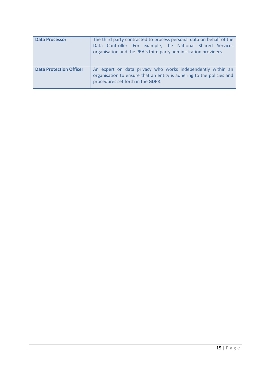| <b>Data Processor</b>          | The third party contracted to process personal data on behalf of the<br>Data Controller. For example, the National Shared Services<br>organisation and the PRA's third party administration providers. |
|--------------------------------|--------------------------------------------------------------------------------------------------------------------------------------------------------------------------------------------------------|
| <b>Data Protection Officer</b> | An expert on data privacy who works independently within an<br>organisation to ensure that an entity is adhering to the policies and<br>procedures set forth in the GDPR.                              |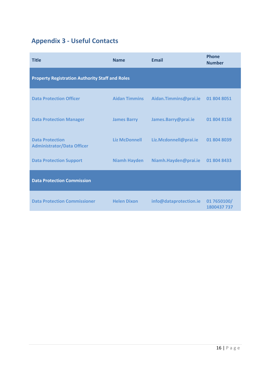# <span id="page-18-0"></span>**Appendix 3 - Useful Contacts**

| <b>Title</b>                                                | <b>Name</b>          | <b>Email</b>           | <b>Phone</b><br><b>Number</b> |  |  |  |
|-------------------------------------------------------------|----------------------|------------------------|-------------------------------|--|--|--|
| <b>Property Registration Authority Staff and Roles</b>      |                      |                        |                               |  |  |  |
| <b>Data Protection Officer</b>                              | <b>Aidan Timmins</b> | Aidan.Timmins@prai.ie  | 01 804 8051                   |  |  |  |
| <b>Data Protection Manager</b>                              | <b>James Barry</b>   | James.Barry@prai.ie    | 01 804 8158                   |  |  |  |
| <b>Data Protection</b><br><b>Administrator/Data Officer</b> | <b>Liz McDonnell</b> | Liz.Mcdonnell@prai.ie  | 01 804 8039                   |  |  |  |
| <b>Data Protection Support</b>                              | <b>Niamh Hayden</b>  | Niamh.Hayden@prai.ie   | 01 804 8433                   |  |  |  |
| <b>Data Protection Commission</b>                           |                      |                        |                               |  |  |  |
| <b>Data Protection Commissioner</b>                         | <b>Helen Dixon</b>   | info@dataprotection.ie | 01 7650100/<br>1800437 737    |  |  |  |